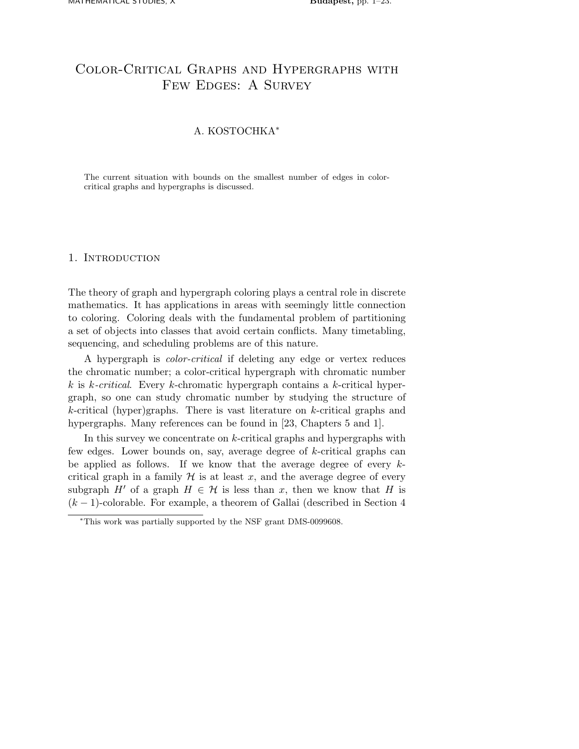# Color-Critical Graphs and Hypergraphs with FEW EDGES: A SURVEY

# A. KOSTOCHKA<sup>∗</sup>

The current situation with bounds on the smallest number of edges in colorcritical graphs and hypergraphs is discussed.

# 1. Introduction

The theory of graph and hypergraph coloring plays a central role in discrete mathematics. It has applications in areas with seemingly little connection to coloring. Coloring deals with the fundamental problem of partitioning a set of objects into classes that avoid certain conflicts. Many timetabling, sequencing, and scheduling problems are of this nature.

A hypergraph is *color-critical* if deleting any edge or vertex reduces the chromatic number; a color-critical hypergraph with chromatic number k is k*-critical*. Every k-chromatic hypergraph contains a k-critical hypergraph, so one can study chromatic number by studying the structure of  $k$ -critical (hyper)graphs. There is vast literature on  $k$ -critical graphs and hypergraphs. Many references can be found in [23, Chapters 5 and 1].

In this survey we concentrate on k-critical graphs and hypergraphs with few edges. Lower bounds on, say, average degree of k-critical graphs can be applied as follows. If we know that the average degree of every  $k$ critical graph in a family  $\mathcal H$  is at least x, and the average degree of every subgraph H' of a graph  $H \in \mathcal{H}$  is less than x, then we know that H is  $(k-1)$ -colorable. For example, a theorem of Gallai (described in Section 4

<sup>∗</sup>This work was partially supported by the NSF grant DMS-0099608.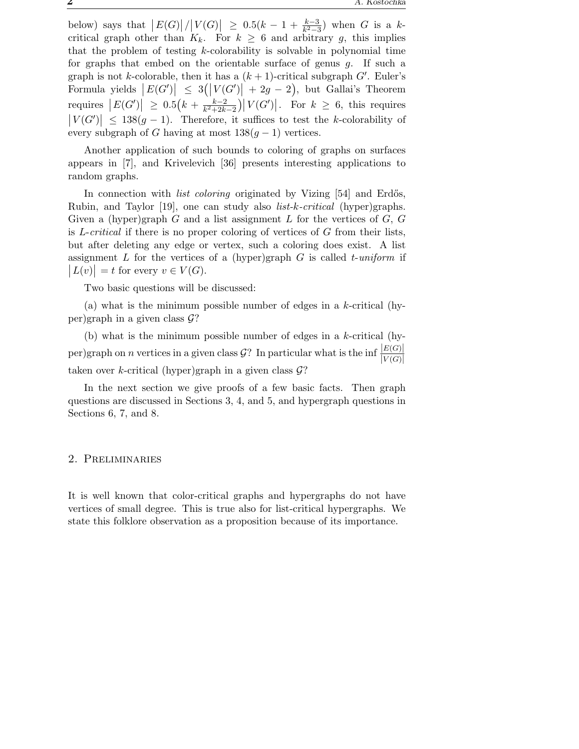below) says that  $\left|E(G)\right|/\left|V(G)\right| \geq 0.5(k-1+\frac{k-3}{k^2-3})$  when G is a kcritical graph other than  $K_k$ . For  $k \geq 6$  and arbitrary g, this implies that the problem of testing k-colorability is solvable in polynomial time for graphs that embed on the orientable surface of genus g. If such a graph is not k-colorable, then it has a  $(k + 1)$ -critical subgraph  $G'$ . Euler's Formula yields  $|E(G')| \leq 3(|V(G')| + 2g - 2)$ , but Gallai's Theorem requires  $|E(G')| \ge 0.5(k + \frac{k-2}{k^2+2k})$  $\frac{k-2}{k^2+2k-2}$  |  $V(G')$  |. For  $k \geq 6$ , this requires  $|V(G')| \leq 138(g-1)$ . Therefore, it suffices to test the k-colorability of every subgraph of G having at most  $138(g-1)$  vertices.

Another application of such bounds to coloring of graphs on surfaces appears in [7], and Krivelevich [36] presents interesting applications to random graphs.

In connection with *list coloring* originated by Vizing [54] and Erdős, Rubin, and Taylor [19], one can study also *list-*k*-critical* (hyper)graphs. Given a (hyper)graph G and a list assignment L for the vertices of  $G$ , G is L-*critical* if there is no proper coloring of vertices of G from their lists, but after deleting any edge or vertex, such a coloring does exist. A list assignment L for the vertices of a (hyper)graph G is called t-*uniform* if  $|L(v)| = t$  for every  $v \in V(G)$ .

Two basic questions will be discussed:

(a) what is the minimum possible number of edges in a  $k$ -critical (hyper)graph in a given class  $\mathcal{G}$ ?

(b) what is the minimum possible number of edges in a  $k$ -critical (hyper)graph on *n* vertices in a given class  $\mathcal{G}$ ? In particular what is the inf  $\frac{|E(G)|}{|V(G)|}$ taken over k-critical (hyper)graph in a given class  $\mathcal{G}$ ?

In the next section we give proofs of a few basic facts. Then graph questions are discussed in Sections 3, 4, and 5, and hypergraph questions in Sections 6, 7, and 8.

## 2. Preliminaries

It is well known that color-critical graphs and hypergraphs do not have vertices of small degree. This is true also for list-critical hypergraphs. We state this folklore observation as a proposition because of its importance.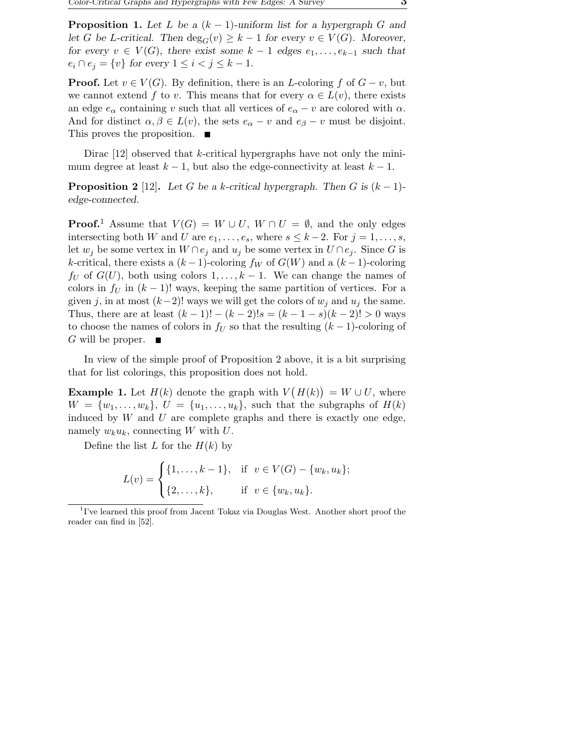**Proposition 1.** Let L be a  $(k-1)$ -uniform list for a hypergraph G and let G be L-critical. Then  $\deg_G(v) \geq k-1$  for every  $v \in V(G)$ . Moreover, for every  $v \in V(G)$ , there exist some  $k-1$  edges  $e_1, \ldots, e_{k-1}$  such that  $e_i \cap e_j = \{v\}$  for every  $1 \leq i < j \leq k-1$ .

**Proof.** Let  $v \in V(G)$ . By definition, there is an *L*-coloring f of  $G - v$ , but we cannot extend f to v. This means that for every  $\alpha \in L(v)$ , there exists an edge  $e_{\alpha}$  containing v such that all vertices of  $e_{\alpha} - v$  are colored with  $\alpha$ . And for distinct  $\alpha, \beta \in L(v)$ , the sets  $e_{\alpha} - v$  and  $e_{\beta} - v$  must be disjoint. This proves the proposition. ■

Dirac  $[12]$  observed that k-critical hypergraphs have not only the minimum degree at least  $k - 1$ , but also the edge-connectivity at least  $k - 1$ .

**Proposition 2** [12]. Let G be a k-critical hypergraph. Then G is  $(k-1)$ edge-connected.

**Proof.**<sup>1</sup> Assume that  $V(G) = W \cup U$ ,  $W \cap U = \emptyset$ , and the only edges intersecting both W and U are  $e_1, \ldots, e_s$ , where  $s \leq k-2$ . For  $j = 1, \ldots, s$ , let  $w_j$  be some vertex in  $W \cap e_j$  and  $u_j$  be some vertex in  $U \cap e_j$ . Since G is k-critical, there exists a  $(k-1)$ -coloring  $f_W$  of  $G(W)$  and a  $(k-1)$ -coloring  $f_U$  of  $G(U)$ , both using colors  $1, \ldots, k-1$ . We can change the names of colors in  $f_U$  in  $(k-1)!$  ways, keeping the same partition of vertices. For a given j, in at most  $(k-2)!$  ways we will get the colors of  $w_i$  and  $u_j$  the same. Thus, there are at least  $(k-1)! - (k-2)!s = (k-1-s)(k-2)! > 0$  ways to choose the names of colors in  $f_U$  so that the resulting  $(k-1)$ -coloring of G will be proper.  $\blacksquare$ 

In view of the simple proof of Proposition 2 above, it is a bit surprising that for list colorings, this proposition does not hold.

**Example 1.** Let  $H(k)$  denote the graph with  $V(H(k)) = W \cup U$ , where  $W = \{w_1, \ldots, w_k\}, U = \{u_1, \ldots, u_k\},$  such that the subgraphs of  $H(k)$ induced by  $W$  and  $U$  are complete graphs and there is exactly one edge, namely  $w_k u_k$ , connecting W with U.

Define the list L for the  $H(k)$  by

$$
L(v) = \begin{cases} \{1, \dots, k-1\}, & \text{if } v \in V(G) - \{w_k, u_k\}; \\ \{2, \dots, k\}, & \text{if } v \in \{w_k, u_k\}. \end{cases}
$$

<sup>&</sup>lt;sup>1</sup>I've learned this proof from Jacent Tokaz via Douglas West. Another short proof the reader can find in [52].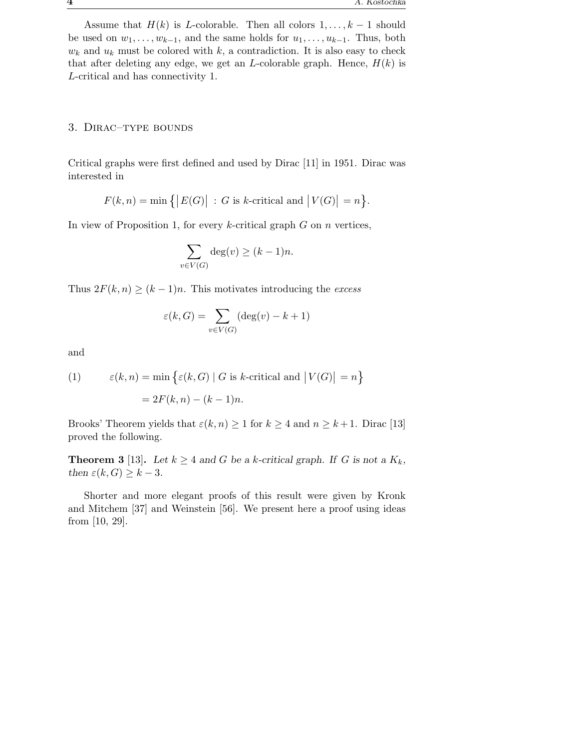Assume that  $H(k)$  is L-colorable. Then all colors  $1, \ldots, k-1$  should be used on  $w_1, \ldots, w_{k-1}$ , and the same holds for  $u_1, \ldots, u_{k-1}$ . Thus, both  $w_k$  and  $u_k$  must be colored with k, a contradiction. It is also easy to check that after deleting any edge, we get an *L*-colorable graph. Hence,  $H(k)$  is L-critical and has connectivity 1.

#### 3. Dirac–type bounds

Critical graphs were first defined and used by Dirac [11] in 1951. Dirac was interested in

 $F(k,n) = \min\big\{ |E(G)| : G \text{ is } k\text{-critical and } |V(G)| = n \big\}.$ 

In view of Proposition 1, for every  $k$ -critical graph  $G$  on  $n$  vertices,

$$
\sum_{v \in V(G)} \deg(v) \ge (k-1)n.
$$

Thus  $2F(k, n) \ge (k-1)n$ . This motivates introducing the *excess* 

$$
\varepsilon(k, G) = \sum_{v \in V(G)} (\deg(v) - k + 1)
$$

and

(1) 
$$
\varepsilon(k, n) = \min \{ \varepsilon(k, G) | G \text{ is } k\text{-critical and } |V(G)| = n \}
$$

$$
= 2F(k, n) - (k - 1)n.
$$

Brooks' Theorem yields that  $\varepsilon(k, n) \geq 1$  for  $k \geq 4$  and  $n \geq k+1$ . Dirac [13] proved the following.

**Theorem 3** [13]. Let  $k \geq 4$  and G be a k-critical graph. If G is not a  $K_k$ , then  $\varepsilon(k, G) \geq k - 3$ .

Shorter and more elegant proofs of this result were given by Kronk and Mitchem [37] and Weinstein [56]. We present here a proof using ideas from [10, 29].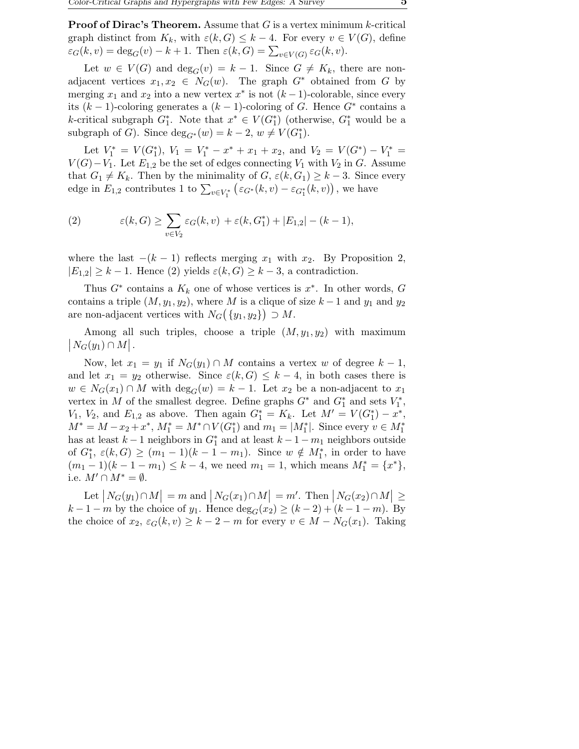**Proof of Dirac's Theorem.** Assume that  $G$  is a vertex minimum k-critical graph distinct from  $K_k$ , with  $\varepsilon(k, G) \leq k-4$ . For every  $v \in V(G)$ , define  $\varepsilon_G(k, v) = \deg_G(v) - k + 1$ . Then  $\varepsilon(k, G) = \sum_{v \in V(G)} \varepsilon_G(k, v)$ .

Let  $w \in V(G)$  and  $\deg_G(v) = k - 1$ . Since  $G \neq K_k$ , there are nonadjacent vertices  $x_1, x_2 \in N_G(w)$ . The graph  $G^*$  obtained from G by merging  $x_1$  and  $x_2$  into a new vertex  $x^*$  is not  $(k-1)$ -colorable, since every its  $(k-1)$ -coloring generates a  $(k-1)$ -coloring of G. Hence  $G^*$  contains a k-critical subgraph  $G_1^*$ . Note that  $x^* \in V(G_1^*)$  (otherwise,  $G_1^*$  would be a subgraph of G). Since  $\deg_{G^*}(w) = k - 2, w \neq V(G_1^*)$ .

Let  $V_1^* = V(G_1^*), V_1 = V_1^* - x^* + x_1 + x_2$ , and  $V_2 = V(G^*) - V_1^* =$  $V(G) - V_1$ . Let  $E_{1,2}$  be the set of edges connecting  $V_1$  with  $V_2$  in G. Assume that  $G_1 \neq K_k$ . Then by the minimality of  $G$ ,  $\varepsilon(k, G_1) \geq k-3$ . Since every edge in  $E_{1,2}$  contributes 1 to  $\sum_{v \in V_1^*} (\varepsilon_{G^*}(k, v) - \varepsilon_{G_1^*}(k, v))$ , we have

(2) 
$$
\varepsilon(k, G) \geq \sum_{v \in V_2} \varepsilon_G(k, v) + \varepsilon(k, G_1^*) + |E_{1,2}| - (k - 1),
$$

where the last  $-(k-1)$  reflects merging  $x_1$  with  $x_2$ . By Proposition 2,  $|E_{1,2}| \geq k-1$ . Hence (2) yields  $\varepsilon(k, G) \geq k-3$ , a contradiction.

Thus  $G^*$  contains a  $K_k$  one of whose vertices is  $x^*$ . In other words,  $G$ contains a triple  $(M, y_1, y_2)$ , where M is a clique of size  $k-1$  and  $y_1$  and  $y_2$ are non-adjacent vertices with  $N_G(\lbrace y_1, y_2 \rbrace) \supset M$ .

 $\big|N_G(y_1)\cap M\big|$ . Among all such triples, choose a triple  $(M, y_1, y_2)$  with maximum

Now, let  $x_1 = y_1$  if  $N_G(y_1) \cap M$  contains a vertex w of degree  $k-1$ , and let  $x_1 = y_2$  otherwise. Since  $\varepsilon(k, G) \leq k - 4$ , in both cases there is  $w \in N_G(x_1) \cap M$  with  $\deg_G(w) = k - 1$ . Let  $x_2$  be a non-adjacent to  $x_1$ vertex in M of the smallest degree. Define graphs  $G^*$  and  $G_1^*$  and sets  $V_1^*$ ,  $V_1, V_2, \text{ and } E_{1,2} \text{ as above. Then again } G_1^* = K_k.$  Let  $M' = V(G_1^*) - x^*$ ,  $M^* = M - x_2 + x^*$ ,  $M_1^* = M^* \cap V(G_1^*)$  and  $m_1 = |M_1^*|$ . Since every  $v \in M_1^*$ has at least  $k-1$  neighbors in  $G_1^*$  and at least  $k-1-m_1$  neighbors outside of  $G_1^*, \varepsilon(k, G) \ge (m_1 - 1)(k - 1 - m_1)$ . Since  $w \notin M_1^*$ , in order to have  $(m_1 - 1)(k - 1 - m_1) \leq k - 4$ , we need  $m_1 = 1$ , which means  $M_1^* = \{x^*\},$ i.e.  $M' \cap M^* = \emptyset$ .

Let  $|N_G(y_1) \cap M| = m$  and  $|N_G(x_1) \cap M| = m'$ . Then  $|N_G(x_2) \cap M| \ge$  $k-1-m$  by the choice of  $y_1$ . Hence  $\deg_G(x_2) \ge (k-2) + (k-1-m)$ . By the choice of  $x_2, \varepsilon_G(k, v) \geq k - 2 - m$  for every  $v \in M - N_G(x_1)$ . Taking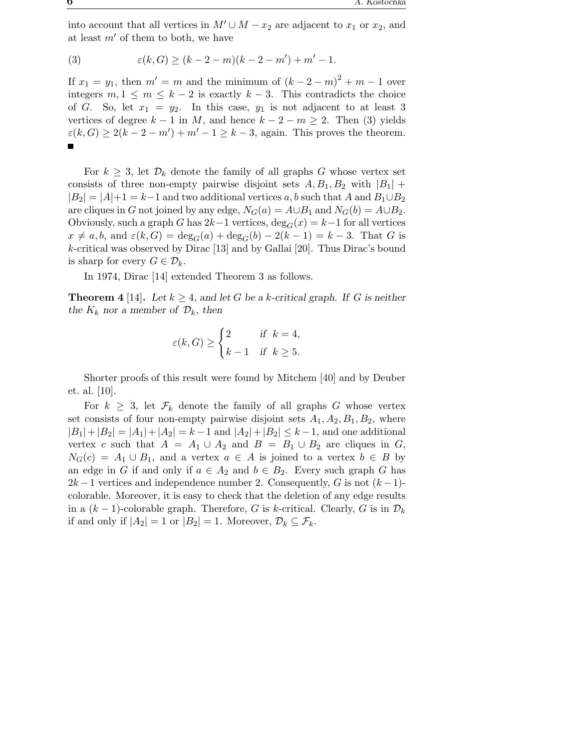into account that all vertices in  $M' \cup M - x_2$  are adjacent to  $x_1$  or  $x_2$ , and at least  $m'$  of them to both, we have

(3) 
$$
\varepsilon(k, G) \ge (k - 2 - m)(k - 2 - m') + m' - 1.
$$

If  $x_1 = y_1$ , then  $m' = m$  and the minimum of  $(k - 2 - m)^2 + m - 1$  over integers  $m, 1 \leq m \leq k-2$  is exactly  $k-3$ . This contradicts the choice of G. So, let  $x_1 = y_2$ . In this case,  $y_1$  is not adjacent to at least 3 vertices of degree  $k - 1$  in M, and hence  $k - 2 - m \ge 2$ . Then (3) yields  $\varepsilon(k, G) \ge 2(k - 2 - m') + m' - 1 \ge k - 3$ , again. This proves the theorem.

For  $k \geq 3$ , let  $\mathcal{D}_k$  denote the family of all graphs G whose vertex set consists of three non-empty pairwise disjoint sets  $A, B_1, B_2$  with  $|B_1|$  +  $|B_2| = |A|+1 = k-1$  and two additional vertices a, b such that A and  $B_1 \cup B_2$ are cliques in G not joined by any edge,  $N_G(a) = A \cup B_1$  and  $N_G(b) = A \cup B_2$ . Obviously, such a graph G has  $2k-1$  vertices,  $\deg_G(x) = k-1$  for all vertices  $x \neq a, b$ , and  $\varepsilon(k, G) = \deg_G(a) + \deg_G(b) - 2(k-1) = k-3$ . That G is k-critical was observed by Dirac [13] and by Gallai [20]. Thus Dirac's bound is sharp for every  $G \in \mathcal{D}_k$ .

In 1974, Dirac [14] extended Theorem 3 as follows.

**Theorem 4** [14]. Let  $k \geq 4$ , and let G be a k-critical graph. If G is neither the  $K_k$  nor a member of  $\mathcal{D}_k$ , then

$$
\varepsilon(k, G) \ge \begin{cases} 2 & \text{if } k = 4, \\ k - 1 & \text{if } k \ge 5. \end{cases}
$$

Shorter proofs of this result were found by Mitchem [40] and by Deuber et. al. [10].

For  $k \geq 3$ , let  $\mathcal{F}_k$  denote the family of all graphs G whose vertex set consists of four non-empty pairwise disjoint sets  $A_1, A_2, B_1, B_2$ , where  $|B_1|+|B_2| = |A_1|+|A_2| = k-1$  and  $|A_2|+|B_2| \leq k-1$ , and one additional vertex c such that  $A = A_1 \cup A_2$  and  $B = B_1 \cup B_2$  are cliques in G,  $N_G(c) = A_1 \cup B_1$ , and a vertex  $a \in A$  is joined to a vertex  $b \in B$  by an edge in G if and only if  $a \in A_2$  and  $b \in B_2$ . Every such graph G has  $2k-1$  vertices and independence number 2. Consequently, G is not  $(k-1)$ colorable. Moreover, it is easy to check that the deletion of any edge results in a  $(k-1)$ -colorable graph. Therefore, G is k-critical. Clearly, G is in  $\mathcal{D}_k$ if and only if  $|A_2| = 1$  or  $|B_2| = 1$ . Moreover,  $\mathcal{D}_k \subseteq \mathcal{F}_k$ .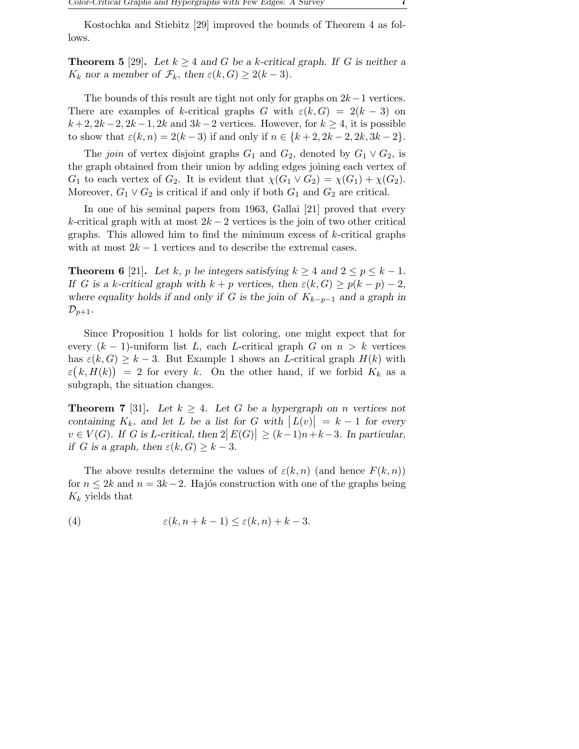Kostochka and Stiebitz [29] improved the bounds of Theorem 4 as follows.

**Theorem 5** [29]. Let  $k \geq 4$  and G be a k-critical graph. If G is neither a  $K_k$  nor a member of  $\mathcal{F}_k$ , then  $\varepsilon(k, G) \geq 2(k-3)$ .

The bounds of this result are tight not only for graphs on  $2k-1$  vertices. There are examples of k-critical graphs G with  $\varepsilon(k, G) = 2(k-3)$  on  $k+2, 2k-2, 2k-1, 2k$  and  $3k-2$  vertices. However, for  $k \geq 4$ , it is possible to show that  $\varepsilon(k, n) = 2(k-3)$  if and only if  $n \in \{k+2, 2k-2, 2k, 3k-2\}.$ 

The *join* of vertex disjoint graphs  $G_1$  and  $G_2$ , denoted by  $G_1 \vee G_2$ , is the graph obtained from their union by adding edges joining each vertex of  $G_1$  to each vertex of  $G_2$ . It is evident that  $\chi(G_1 \vee G_2) = \chi(G_1) + \chi(G_2)$ . Moreover,  $G_1 \vee G_2$  is critical if and only if both  $G_1$  and  $G_2$  are critical.

In one of his seminal papers from 1963, Gallai [21] proved that every k-critical graph with at most  $2k-2$  vertices is the join of two other critical graphs. This allowed him to find the minimum excess of  $k$ -critical graphs with at most  $2k - 1$  vertices and to describe the extremal cases.

**Theorem 6** [21]. Let k, p be integers satisfying  $k > 4$  and  $2 \leq p \leq k - 1$ . If G is a k-critical graph with  $k + p$  vertices, then  $\varepsilon(k, G) \geq p(k - p) - 2$ , where equality holds if and only if G is the join of  $K_{k-p-1}$  and a graph in  $\mathcal{D}_{p+1}.$ 

Since Proposition 1 holds for list coloring, one might expect that for every  $(k-1)$ -uniform list L, each L-critical graph G on  $n > k$  vertices has  $\varepsilon(k, G) \geq k - 3$ . But Example 1 shows an *L*-critical graph  $H(k)$  with  $\varepsilon(k, H(k)) = 2$  for every k. On the other hand, if we forbid  $K_k$  as a subgraph, the situation changes.

**Theorem 7** [31]. Let  $k \geq 4$ . Let G be a hypergraph on n vertices not containing  $K_k$ , and let L be a list for G with  $|L(v)| = k - 1$  for every  $v \in V(G)$ . If G is L-critical, then  $2|E(G)| \ge (k-1)n+k-3$ . In particular, if G is a graph, then  $\varepsilon(k, G) \geq k - 3$ .

The above results determine the values of  $\varepsilon(k,n)$  (and hence  $F(k,n)$ ) for  $n \leq 2k$  and  $n = 3k - 2$ . Hajós construction with one of the graphs being  $K_k$  yields that

(4) 
$$
\varepsilon(k, n + k - 1) \le \varepsilon(k, n) + k - 3.
$$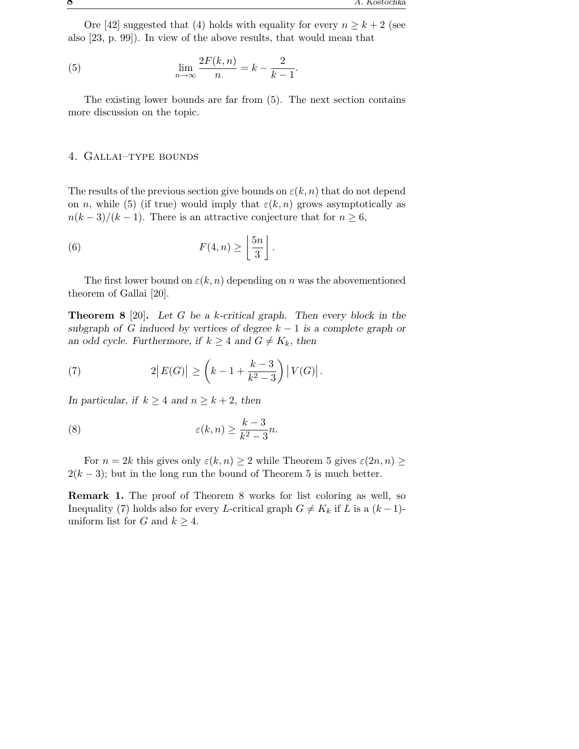Ore [42] suggested that (4) holds with equality for every  $n \geq k+2$  (see also [23, p. 99]). In view of the above results, that would mean that

(5) 
$$
\lim_{n \to \infty} \frac{2F(k, n)}{n} = k - \frac{2}{k - 1}.
$$

The existing lower bounds are far from (5). The next section contains more discussion on the topic.

#### 4. Gallai–type bounds

The results of the previous section give bounds on  $\varepsilon(k,n)$  that do not depend on n, while (5) (if true) would imply that  $\varepsilon(k,n)$  grows asymptotically as  $n(k-3)/(k-1)$ . There is an attractive conjecture that for  $n \geq 6$ ,

(6) 
$$
F(4, n) \geq \left\lfloor \frac{5n}{3} \right\rfloor.
$$

The first lower bound on  $\varepsilon(k, n)$  depending on n was the abovementioned theorem of Gallai [20].

**Theorem 8** [20]. Let G be a k-critical graph. Then every block in the subgraph of G induced by vertices of degree  $k - 1$  is a complete graph or an odd cycle. Furthermore, if  $k \geq 4$  and  $G \neq K_k$ , then

(7) 
$$
2|E(G)| \ge \left(k - 1 + \frac{k - 3}{k^2 - 3}\right)|V(G)|.
$$

In particular, if  $k \geq 4$  and  $n \geq k+2$ , then

(8) 
$$
\varepsilon(k,n) \geq \frac{k-3}{k^2-3}n.
$$

For  $n = 2k$  this gives only  $\varepsilon(k, n) \geq 2$  while Theorem 5 gives  $\varepsilon(2n, n) \geq$  $2(k-3)$ ; but in the long run the bound of Theorem 5 is much better.

Remark 1. The proof of Theorem 8 works for list coloring as well, so Inequality (7) holds also for every L-critical graph  $G \neq K_k$  if L is a  $(k-1)$ uniform list for G and  $k \geq 4$ .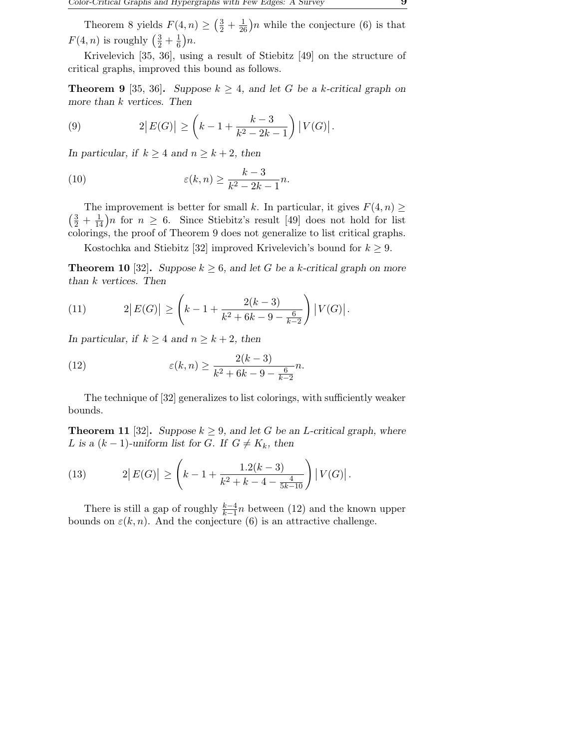Theorem 8 yields  $F(4, n) \geq (\frac{3}{2} + \frac{1}{26})n$  while the conjecture (6) is that  $F(4, n)$  is roughly  $\left(\frac{3}{2} + \frac{1}{6}\right)$  $\frac{1}{6})n$ .

Krivelevich [35, 36], using a result of Stiebitz [49] on the structure of critical graphs, improved this bound as follows.

**Theorem 9** [35, 36]. Suppose  $k \geq 4$ , and let G be a k-critical graph on more than k vertices. Then

(9) 
$$
2|E(G)| \ge \left(k-1+\frac{k-3}{k^2-2k-1}\right)|V(G)|.
$$

In particular, if  $k \geq 4$  and  $n \geq k+2$ , then

(10) 
$$
\varepsilon(k,n) \geq \frac{k-3}{k^2 - 2k - 1}n.
$$

The improvement is better for small k. In particular, it gives  $F(4, n) \geq$  $\left(\frac{3}{2} + \frac{1}{14}\right)n$  for  $n \geq 6$ . Since Stiebitz's result [49] does not hold for list colorings, the proof of Theorem 9 does not generalize to list critical graphs.

Kostochka and Stiebitz [32] improved Krivelevich's bound for  $k \geq 9$ .

**Theorem 10** [32]. Suppose  $k \geq 6$ , and let G be a k-critical graph on more than k vertices. Then

(11) 
$$
2|E(G)| \ge \left(k-1+\frac{2(k-3)}{k^2+6k-9-\frac{6}{k-2}}\right)|V(G)|.
$$

In particular, if  $k \geq 4$  and  $n \geq k+2$ , then

(12) 
$$
\varepsilon(k,n) \ge \frac{2(k-3)}{k^2 + 6k - 9 - \frac{6}{k-2}}n.
$$

The technique of [32] generalizes to list colorings, with sufficiently weaker bounds.

**Theorem 11** [32]. Suppose  $k \geq 9$ , and let G be an L-critical graph, where L is a  $(k-1)$ -uniform list for G. If  $G \neq K_k$ , then

(13) 
$$
2|E(G)| \ge \left(k-1+\frac{1.2(k-3)}{k^2+k-4-\frac{4}{5k-10}}\right)|V(G)|.
$$

There is still a gap of roughly  $\frac{k-4}{k-1}n$  between (12) and the known upper bounds on  $\varepsilon(k, n)$ . And the conjecture (6) is an attractive challenge.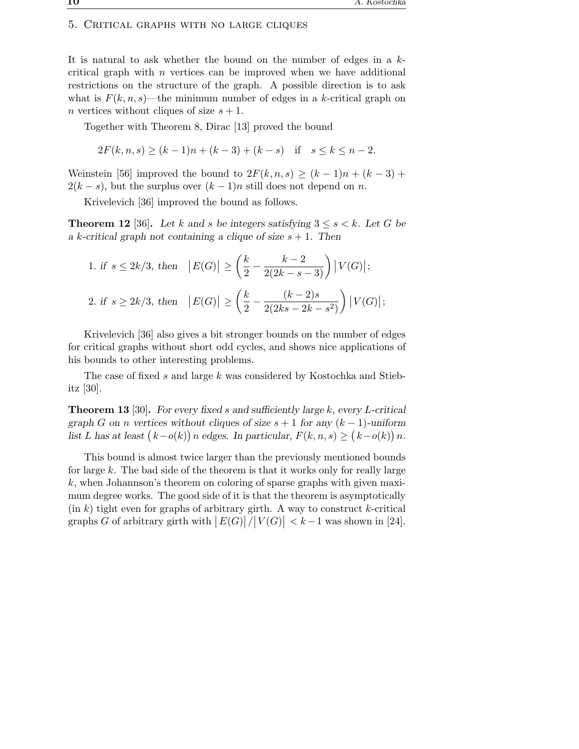#### 5. Critical graphs with no large cliques

It is natural to ask whether the bound on the number of edges in a  $k$ critical graph with  $n$  vertices can be improved when we have additional restrictions on the structure of the graph. A possible direction is to ask what is  $F(k, n, s)$ —the minimum number of edges in a k-critical graph on n vertices without cliques of size  $s + 1$ .

Together with Theorem 8, Dirac [13] proved the bound

 $2F(k, n, s) > (k-1)n + (k-3) + (k-s)$  if  $s \leq k \leq n-2$ .

Weinstein [56] improved the bound to  $2F(k, n, s) \geq (k-1)n + (k-3) +$  $2(k - s)$ , but the surplus over  $(k - 1)n$  still does not depend on n.

Krivelevich [36] improved the bound as follows.

**Theorem 12** [36]. Let k and s be integers satisfying  $3 \leq s \leq k$ . Let G be a k-critical graph not containing a clique of size  $s + 1$ . Then

1. if 
$$
s \le 2k/3
$$
, then  $|E(G)| \ge \left(\frac{k}{2} - \frac{k-2}{2(2k-s-3)}\right)|V(G)|$ ;  
\n2. if  $s \ge 2k/3$ , then  $|E(G)| \ge \left(\frac{k}{2} - \frac{(k-2)s}{2(2ks-2k-s^2)}\right)|V(G)|$ ;

Krivelevich [36] also gives a bit stronger bounds on the number of edges for critical graphs without short odd cycles, and shows nice applications of his bounds to other interesting problems.

The case of fixed s and large k was considered by Kostochka and Stiebitz [30].

**Theorem 13** [30]. For every fixed s and sufficiently large  $k$ , every L-critical graph G on n vertices without cliques of size  $s + 1$  for any  $(k - 1)$ -uniform list L has at least  $(k-o(k))n$  edges. In particular,  $F(k, n, s) \ge (k-o(k))n$ .

This bound is almost twice larger than the previously mentioned bounds for large  $k$ . The bad side of the theorem is that it works only for really large k, when Johannson's theorem on coloring of sparse graphs with given maximum degree works. The good side of it is that the theorem is asymptotically  $(\text{in } k)$  tight even for graphs of arbitrary girth. A way to construct k-critical graphs G of arbitrary girth with  $|E(G)|/|V(G)| < k-1$  was shown in [24].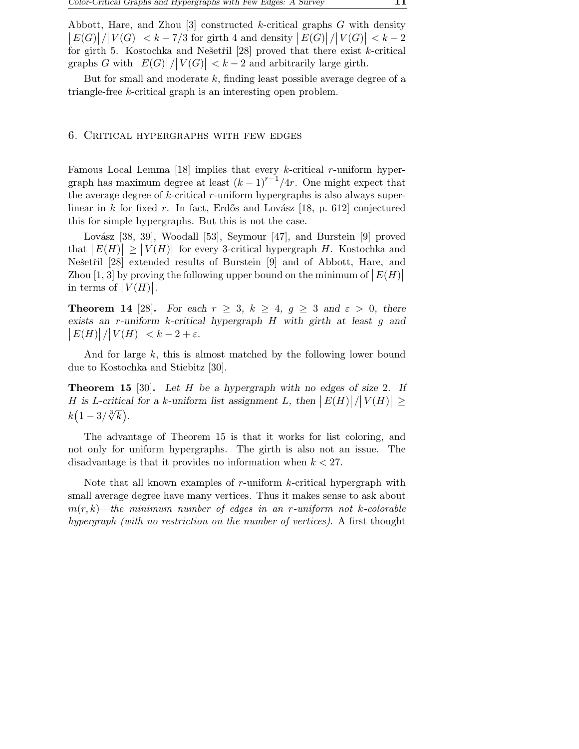Abbott, Hare, and Zhou  $\lceil 3 \rceil$  constructed k-critical graphs G with density  $\left|E(G)|/|V(G)| < k-7/3$  for girth 4 and density  $\left|E(G)|/|V(G)| < k-2$ for girth 5. Kostochka and Nešetřil [28] proved that there exist  $k$ -critical graphs G with  $|E(G)|/|V(G)| < k-2$  and arbitrarily large girth.

But for small and moderate  $k$ , finding least possible average degree of a triangle-free k-critical graph is an interesting open problem.

# 6. Critical hypergraphs with few edges

Famous Local Lemma  $[18]$  implies that every k-critical r-uniform hypergraph has maximum degree at least  $(k-1)^{r-1}/4r$ . One might expect that the average degree of  $k$ -critical  $r$ -uniform hypergraphs is also always superlinear in k for fixed r. In fact, Erdős and Lovász  $[18, p. 612]$  conjectured this for simple hypergraphs. But this is not the case.

Lovász [38, 39], Woodall [53], Seymour [47], and Burstein [9] proved that  $|E(H)| \geq |V(H)|$  for every 3-critical hypergraph H. Kostochka and Nešetřil [28] extended results of Burstein [9] and of Abbott, Hare, and Zhou [1, 3] by proving the following upper bound on the minimum of  $|E(H)|$ in terms of  $|V(H)|$ .

**Theorem 14** [28]. For each  $r \geq 3$ ,  $k \geq 4$ ,  $q \geq 3$  and  $\varepsilon > 0$ , there exists an r-uniform k-critical hypergraph H with girth at least g and  $\left|E(H)\right|/\left|V(H)\right| < k-2+\varepsilon.$ 

And for large k, this is almost matched by the following lower bound due to Kostochka and Stiebitz [30].

**Theorem 15** [30]. Let H be a hypergraph with no edges of size 2. If H is L-critical for a k-uniform list assignment L, then  $|E(H)|/|V(H)| \ge$  $k\left(1-3/\sqrt[3]{k}\right)$ .

The advantage of Theorem 15 is that it works for list coloring, and not only for uniform hypergraphs. The girth is also not an issue. The disadvantage is that it provides no information when  $k < 27$ .

Note that all known examples of r-uniform k-critical hypergraph with small average degree have many vertices. Thus it makes sense to ask about m(r, k)—*the minimum number of edges in an* r*-uniform not* k*-colorable hypergraph (with no restriction on the number of vertices)*. A first thought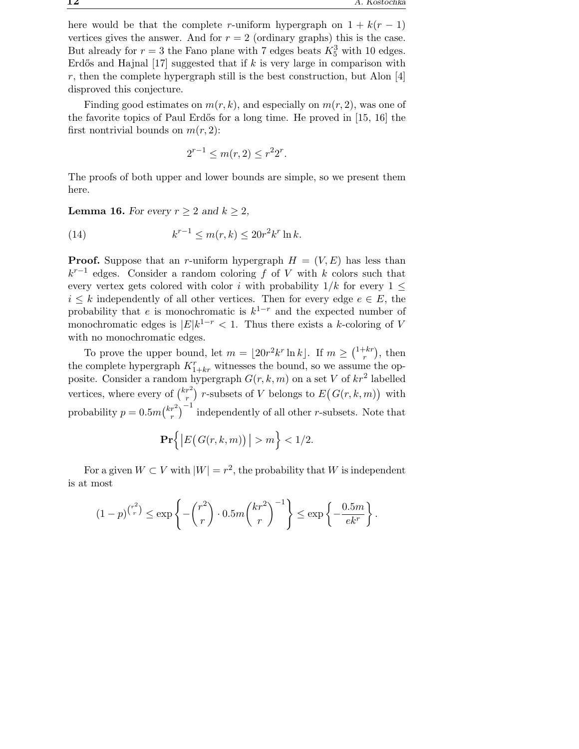here would be that the complete r-uniform hypergraph on  $1 + k(r - 1)$ vertices gives the answer. And for  $r = 2$  (ordinary graphs) this is the case. But already for  $r = 3$  the Fano plane with 7 edges beats  $K_5^3$  with 10 edges. Erdős and Hajnal  $[17]$  suggested that if k is very large in comparison with  $r$ , then the complete hypergraph still is the best construction, but Alon  $[4]$ disproved this conjecture.

Finding good estimates on  $m(r, k)$ , and especially on  $m(r, 2)$ , was one of the favorite topics of Paul Erdős for a long time. He proved in  $[15, 16]$  the first nontrivial bounds on  $m(r, 2)$ :

$$
2^{r-1} \le m(r, 2) \le r^2 2^r.
$$

The proofs of both upper and lower bounds are simple, so we present them here.

**Lemma 16.** For every  $r \geq 2$  and  $k \geq 2$ ,

(14) 
$$
k^{r-1} \le m(r,k) \le 20r^2k^r \ln k.
$$

**Proof.** Suppose that an r-uniform hypergraph  $H = (V, E)$  has less than  $k^{r-1}$  edges. Consider a random coloring f of V with k colors such that every vertex gets colored with color i with probability  $1/k$  for every  $1 \leq$  $i \leq k$  independently of all other vertices. Then for every edge  $e \in E$ , the probability that e is monochromatic is  $k^{1-r}$  and the expected number of monochromatic edges is  $|E|k^{1-r} < 1$ . Thus there exists a k-coloring of V with no monochromatic edges.

To prove the upper bound, let  $m = \lfloor 20r^2k^r \ln k \rfloor$ . If  $m \geq \binom{1+kr}{r}$  $\binom{+kr}{r}$ , then the complete hypergraph  $K_{1+kr}^r$  witnesses the bound, so we assume the opposite. Consider a random hypergraph  $G(r, k, m)$  on a set V of  $kr^2$  labelled vertices, where every of  $\binom{kr^2}{r}$  $\binom{r}{r}$  r-subsets of V belongs to  $E(G(r, k, m))$  with probability  $p = 0.5m\binom{kr^2}{r}$  $\binom{r^2}{r}^{-1}$  independently of all other *r*-subsets. Note that

$$
\mathbf{Pr}\Big\{\big|E\big(G(r,k,m)\big)\big| > m\Big\} < 1/2.
$$

For a given  $W \subset V$  with  $|W| = r^2$ , the probability that W is independent is at most

$$
(1-p)^{\binom{r^2}{r}} \le \exp\left\{-\binom{r^2}{r}\cdot 0.5m\binom{kr^2}{r}^{-1}\right\} \le \exp\left\{-\frac{0.5m}{ek^r}\right\}.
$$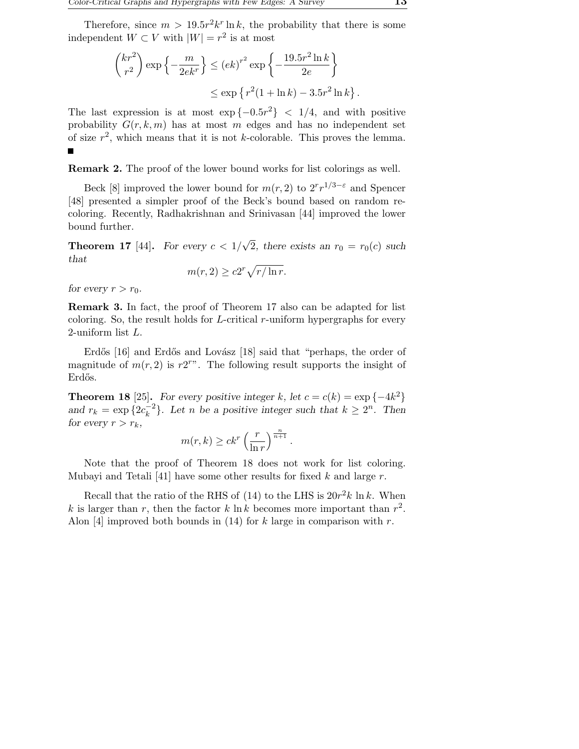Therefore, since  $m > 19.5r^2k^r \ln k$ , the probability that there is some independent  $W \subset V$  with  $|W| = r^2$  is at most

$$
\binom{kr^2}{r^2} \exp\left\{-\frac{m}{2ek^r}\right\} \le (ek)^{r^2} \exp\left\{-\frac{19.5r^2 \ln k}{2e}\right\}
$$

$$
\le \exp\left\{r^2(1+\ln k) - 3.5r^2 \ln k\right\}.
$$

The last expression is at most  $\exp\{-0.5r^2\}$  < 1/4, and with positive probability  $G(r, k, m)$  has at most m edges and has no independent set of size  $r^2$ , which means that it is not k-colorable. This proves the lemma.

Remark 2. The proof of the lower bound works for list colorings as well.

Beck [8] improved the lower bound for  $m(r, 2)$  to  $2^r r^{1/3-\epsilon}$  and Spencer [48] presented a simpler proof of the Beck's bound based on random recoloring. Recently, Radhakrishnan and Srinivasan [44] improved the lower bound further.

**Theorem 17** [44]. For every  $c < 1/\sqrt{2}$ , there exists an  $r_0 = r_0(c)$  such that

$$
m(r, 2) \ge c2^r \sqrt{r/\ln r}.
$$

for every  $r > r_0$ .

Remark 3. In fact, the proof of Theorem 17 also can be adapted for list coloring. So, the result holds for L-critical r-uniform hypergraphs for every 2-uniform list L.

Erdős [16] and Erdős and Lovász [18] said that "perhaps, the order of magnitude of  $m(r, 2)$  is  $r2^{r}$ . The following result supports the insight of Erdős.

**Theorem 18** [25]. For every positive integer k, let  $c = c(k) = \exp\{-4k^2\}$ and  $r_k = \exp\{2c_k^{-2}\}$  $\binom{-2}{k}$ . Let *n* be a positive integer such that  $k \geq 2^n$ . Then for every  $r > r_k$ ,

$$
m(r,k) \geq c k^r \left(\frac{r}{\ln r}\right)^{\frac{n}{n+1}}.
$$

Note that the proof of Theorem 18 does not work for list coloring. Mubayi and Tetali [41] have some other results for fixed  $k$  and large  $r$ .

Recall that the ratio of the RHS of (14) to the LHS is  $20r^2k \ln k$ . When k is larger than r, then the factor k  $\ln k$  becomes more important than  $r^2$ . Alon [4] improved both bounds in (14) for k large in comparison with r.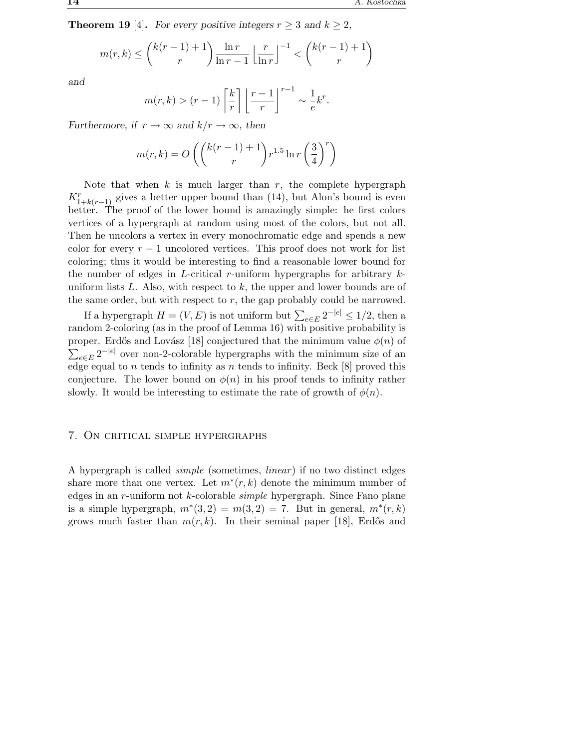**Theorem 19** [4]. For every positive integers  $r \geq 3$  and  $k \geq 2$ ,

$$
m(r,k) \le \binom{k(r-1)+1}{r} \frac{\ln r}{\ln r - 1} \left\lfloor \frac{r}{\ln r} \right\rfloor^{-1} < \binom{k(r-1)+1}{r}
$$

and

$$
m(r,k) > (r-1)\left\lceil \frac{k}{r} \right\rceil \left\lfloor \frac{r-1}{r} \right\rfloor^{r-1} \sim \frac{1}{e}k^r.
$$

Furthermore, if  $r \to \infty$  and  $k/r \to \infty$ , then

$$
m(r,k)=O\left({\binom{k(r-1)+1}{r}}r^{1.5}\ln r\left(\frac{3}{4}\right)^r\right)
$$

Note that when  $k$  is much larger than  $r$ , the complete hypergraph  $K_{1+k(r-1)}^{r}$  gives a better upper bound than (14), but Alon's bound is even better. The proof of the lower bound is amazingly simple: he first colors vertices of a hypergraph at random using most of the colors, but not all. Then he uncolors a vertex in every monochromatic edge and spends a new color for every  $r - 1$  uncolored vertices. This proof does not work for list coloring; thus it would be interesting to find a reasonable lower bound for the number of edges in L-critical r-uniform hypergraphs for arbitrary  $k$ uniform lists  $L$ . Also, with respect to  $k$ , the upper and lower bounds are of the same order, but with respect to  $r$ , the gap probably could be narrowed.

If a hypergraph  $H = (V, E)$  is not uniform but  $\sum_{e \in E} 2^{-|e|} \leq 1/2$ , then a random 2-coloring (as in the proof of Lemma 16) with positive probability is  $\sum_{e \in E} 2^{-|e|}$  over non-2-colorable hypergraphs with the minimum size of an proper. Erdős and Lovász [18] conjectured that the minimum value  $\phi(n)$  of edge equal to *n* tends to infinity as *n* tends to infinity. Beck [8] proved this conjecture. The lower bound on  $\phi(n)$  in his proof tends to infinity rather slowly. It would be interesting to estimate the rate of growth of  $\phi(n)$ .

# 7. On critical simple hypergraphs

A hypergraph is called *simple* (sometimes, *linear* ) if no two distinct edges share more than one vertex. Let  $m^*(r, k)$  denote the minimum number of edges in an r-uniform not k-colorable *simple* hypergraph. Since Fano plane is a simple hypergraph,  $m^*(3,2) = m(3,2) = 7$ . But in general,  $m^*(r,k)$ grows much faster than  $m(r, k)$ . In their seminal paper [18], Erdős and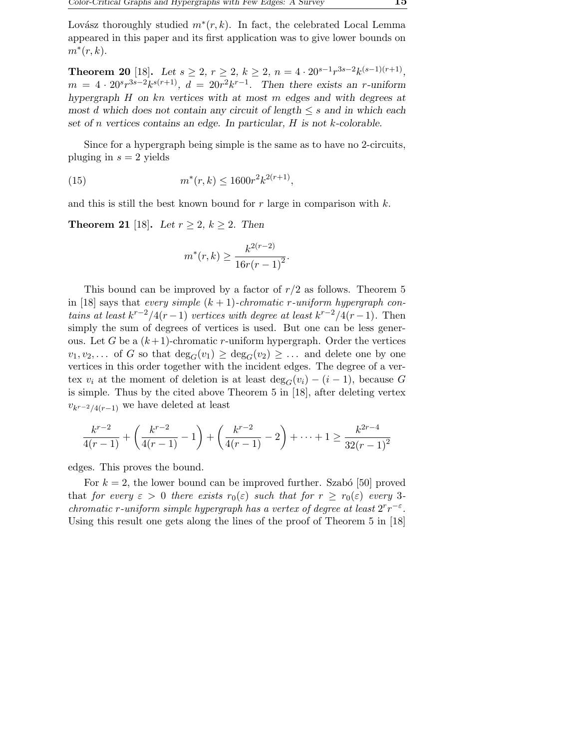Lovász thoroughly studied  $m^*(r, k)$ . In fact, the celebrated Local Lemma appeared in this paper and its first application was to give lower bounds on  $m^*(r,k)$ .

Theorem 20 [18]. Let  $s \ge 2$ ,  $r \ge 2$ ,  $k \ge 2$ ,  $n = 4 \cdot 20^{s-1} r^{3s-2} k^{(s-1)(r+1)}$ ,  $m = 4 \cdot 20^{s} r^{3s-2} k^{s(r+1)}$ ,  $d = 20r^{2} k^{r-1}$ . Then there exists an r-uniform hypergraph H on kn vertices with at most m edges and with degrees at most d which does not contain any circuit of length  $\leq s$  and in which each set of n vertices contains an edge. In particular, H is not k-colorable.

Since for a hypergraph being simple is the same as to have no 2-circuits, pluging in  $s = 2$  yields

(15) 
$$
m^*(r,k) \le 1600r^2k^{2(r+1)},
$$

and this is still the best known bound for r large in comparison with  $k$ .

**Theorem 21** [18]. Let  $r \geq 2$ ,  $k \geq 2$ . Then

$$
m^*(r,k) \ge \frac{k^{2(r-2)}}{16r(r-1)^2}.
$$

This bound can be improved by a factor of  $r/2$  as follows. Theorem 5 in [18] says that *every simple*  $(k + 1)$ -*chromatic r*-uniform hypergraph con*tains at least*  $k^{r-2}/4(r-1)$  *vertices with degree at least*  $k^{r-2}/4(r-1)$ *.* Then simply the sum of degrees of vertices is used. But one can be less generous. Let G be a  $(k+1)$ -chromatic r-uniform hypergraph. Order the vertices  $v_1, v_2, \ldots$  of G so that  $deg_G(v_1) \geq deg_G(v_2) \geq \ldots$  and delete one by one vertices in this order together with the incident edges. The degree of a vertex  $v_i$  at the moment of deletion is at least  $\deg_G(v_i) - (i-1)$ , because G is simple. Thus by the cited above Theorem 5 in [18], after deleting vertex  $v_{k^{r-2}/4(r-1)}$  we have deleted at least

$$
\frac{k^{r-2}}{4(r-1)} + \left(\frac{k^{r-2}}{4(r-1)} - 1\right) + \left(\frac{k^{r-2}}{4(r-1)} - 2\right) + \dots + 1 \ge \frac{k^{2r-4}}{32(r-1)^2}
$$

edges. This proves the bound.

For  $k = 2$ , the lower bound can be improved further. Szabó [50] proved that *for every*  $\varepsilon > 0$  *there exists*  $r_0(\varepsilon)$  *such that for*  $r \geq r_0(\varepsilon)$  *every* 3*chromatic r*-uniform simple hypergraph has a vertex of degree at least  $2^r r^{-\epsilon}$ . Using this result one gets along the lines of the proof of Theorem 5 in [18]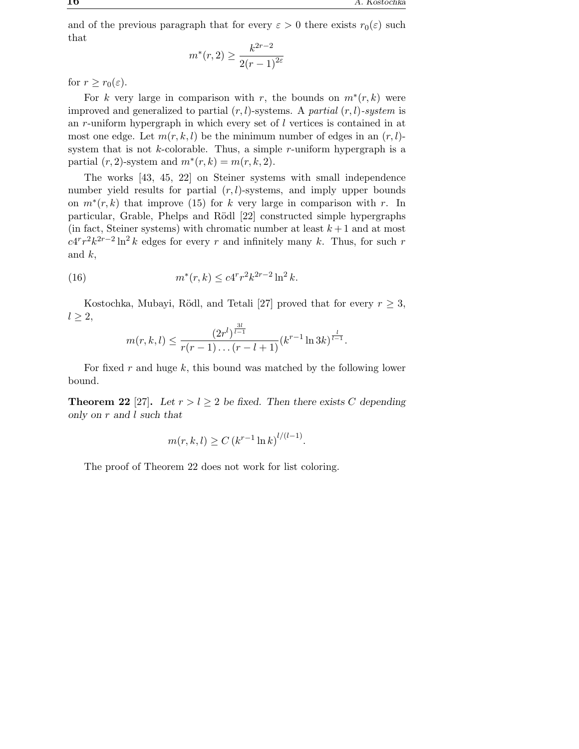and of the previous paragraph that for every  $\varepsilon > 0$  there exists  $r_0(\varepsilon)$  such that

$$
m^*(r, 2) \ge \frac{k^{2r-2}}{2(r-1)^{2\varepsilon}}
$$

for  $r \geq r_0(\varepsilon)$ .

For k very large in comparison with r, the bounds on  $m^*(r, k)$  were improved and generalized to partial (r, l)-systems. A *partial* (r, l)*-system* is an r-uniform hypergraph in which every set of l vertices is contained in at most one edge. Let  $m(r, k, l)$  be the minimum number of edges in an  $(r, l)$ system that is not  $k$ -colorable. Thus, a simple  $r$ -uniform hypergraph is a partial  $(r, 2)$ -system and  $m^*(r, k) = m(r, k, 2)$ .

The works [43, 45, 22] on Steiner systems with small independence number yield results for partial  $(r, l)$ -systems, and imply upper bounds on  $m^*(r, k)$  that improve (15) for k very large in comparison with r. In particular, Grable, Phelps and Rödl [22] constructed simple hypergraphs (in fact, Steiner systems) with chromatic number at least  $k+1$  and at most  $c4^r r^2 k^{2r-2} \ln^2 k$  edges for every r and infinitely many k. Thus, for such r and  $k$ ,

(16) 
$$
m^*(r,k) \le c 4^r r^2 k^{2r-2} \ln^2 k.
$$

Kostochka, Mubayi, Rödl, and Tetali [27] proved that for every  $r \geq 3$ ,  $l \geq 2$ ,

$$
m(r, k, l) \le \frac{(2r^l)^{\frac{3l}{l-1}}}{r(r-1)\dots(r-l+1)}(k^{r-1}\ln 3k)^{\frac{l}{l-1}}.
$$

For fixed r and huge  $k$ , this bound was matched by the following lower bound.

**Theorem 22** [27]. Let  $r > l \geq 2$  be fixed. Then there exists C depending only on r and l such that

$$
m(r, k, l) \ge C (k^{r-1} \ln k)^{l/(l-1)}
$$
.

The proof of Theorem 22 does not work for list coloring.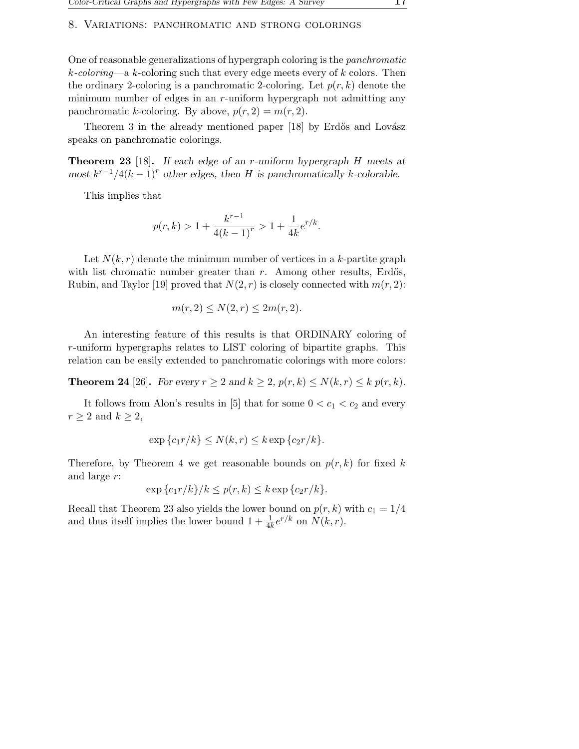#### 8. Variations: panchromatic and strong colorings

One of reasonable generalizations of hypergraph coloring is the *panchromatic* k*-coloring*—a k-coloring such that every edge meets every of k colors. Then the ordinary 2-coloring is a panchromatic 2-coloring. Let  $p(r, k)$  denote the minimum number of edges in an r-uniform hypergraph not admitting any panchromatic k-coloring. By above,  $p(r, 2) = m(r, 2)$ .

Theorem 3 in the already mentioned paper [18] by Erdős and Lovász speaks on panchromatic colorings.

Theorem 23 [18]. If each edge of an r-uniform hypergraph H meets at most  $k^{r-1}/4(k-1)^r$  other edges, then H is panchromatically k-colorable.

This implies that

$$
p(r, k) > 1 + \frac{k^{r-1}}{4(k-1)^r} > 1 + \frac{1}{4k}e^{r/k}.
$$

Let  $N(k, r)$  denote the minimum number of vertices in a k-partite graph with list chromatic number greater than  $r$ . Among other results, Erdős, Rubin, and Taylor [19] proved that  $N(2, r)$  is closely connected with  $m(r, 2)$ :

$$
m(r,2) \le N(2,r) \le 2m(r,2).
$$

An interesting feature of this results is that ORDINARY coloring of r-uniform hypergraphs relates to LIST coloring of bipartite graphs. This relation can be easily extended to panchromatic colorings with more colors:

**Theorem 24** [26]. For every  $r \geq 2$  and  $k \geq 2$ ,  $p(r, k) \leq N(k, r) \leq k p(r, k)$ .

It follows from Alon's results in [5] that for some  $0 < c_1 < c_2$  and every  $r \geq 2$  and  $k \geq 2$ ,

$$
\exp\{c_1r/k\} \le N(k,r) \le k\exp\{c_2r/k\}.
$$

Therefore, by Theorem 4 we get reasonable bounds on  $p(r, k)$  for fixed k and large r:

$$
\exp\left\{c_1r/k\right\}/k \le p(r,k) \le k \exp\left\{c_2r/k\right\}.
$$

Recall that Theorem 23 also yields the lower bound on  $p(r, k)$  with  $c_1 = 1/4$ and thus itself implies the lower bound  $1 + \frac{1}{4k}e^{r/k}$  on  $N(k, r)$ .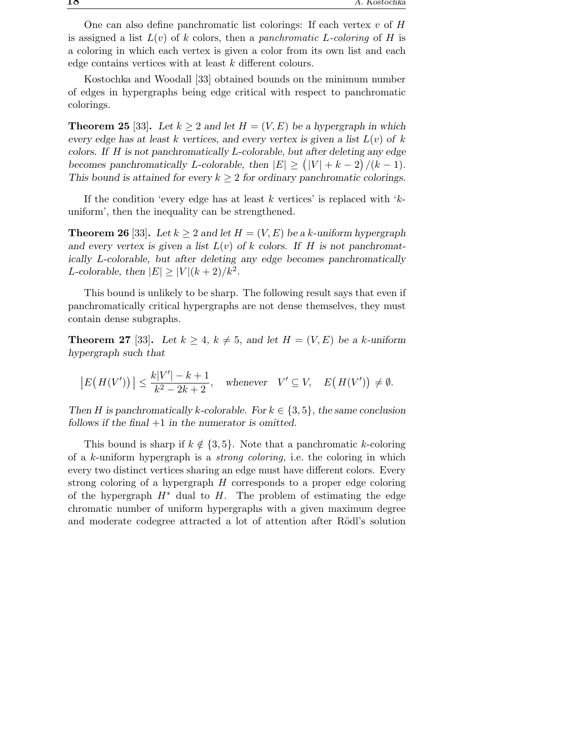One can also define panchromatic list colorings: If each vertex  $v$  of  $H$ is assigned a list  $L(v)$  of k colors, then a *panchromatic* L-coloring of H is a coloring in which each vertex is given a color from its own list and each edge contains vertices with at least k different colours.

Kostochka and Woodall [33] obtained bounds on the minimum number of edges in hypergraphs being edge critical with respect to panchromatic colorings.

**Theorem 25** [33]. Let  $k > 2$  and let  $H = (V, E)$  be a hypergraph in which every edge has at least k vertices, and every vertex is given a list  $L(v)$  of k colors. If H is not panchromatically L-colorable, but after deleting any edge becomes panchromatically L-colorable, then  $|E| \ge (|V| + k - 2)/(k - 1)$ . This bound is attained for every  $k \geq 2$  for ordinary panchromatic colorings.

If the condition 'every edge has at least k vertices' is replaced with  $k$ uniform', then the inequality can be strengthened.

**Theorem 26** [33]. Let  $k \geq 2$  and let  $H = (V, E)$  be a k-uniform hypergraph and every vertex is given a list  $L(v)$  of k colors. If H is not panchromatically L-colorable, but after deleting any edge becomes panchromatically L-colorable, then  $|E| \ge |V|(k+2)/k^2$ .

This bound is unlikely to be sharp. The following result says that even if panchromatically critical hypergraphs are not dense themselves, they must contain dense subgraphs.

**Theorem 27** [33]. Let  $k \geq 4$ ,  $k \neq 5$ , and let  $H = (V, E)$  be a k-uniform hypergraph such that

$$
\left| E(H(V')) \right| \leq \frac{k|V'| - k + 1}{k^2 - 2k + 2}, \quad \text{whenever} \quad V' \subseteq V, \quad E\big(H(V')\big) \neq \emptyset.
$$

Then H is panchromatically k-colorable. For  $k \in \{3, 5\}$ , the same conclusion follows if the final  $+1$  in the numerator is omitted.

This bound is sharp if  $k \notin \{3, 5\}$ . Note that a panchromatic k-coloring of a k-uniform hypergraph is a *strong coloring,* i.e. the coloring in which every two distinct vertices sharing an edge must have different colors. Every strong coloring of a hypergraph  $H$  corresponds to a proper edge coloring of the hypergraph  $H^*$  dual to H. The problem of estimating the edge chromatic number of uniform hypergraphs with a given maximum degree and moderate codegree attracted a lot of attention after Rödl's solution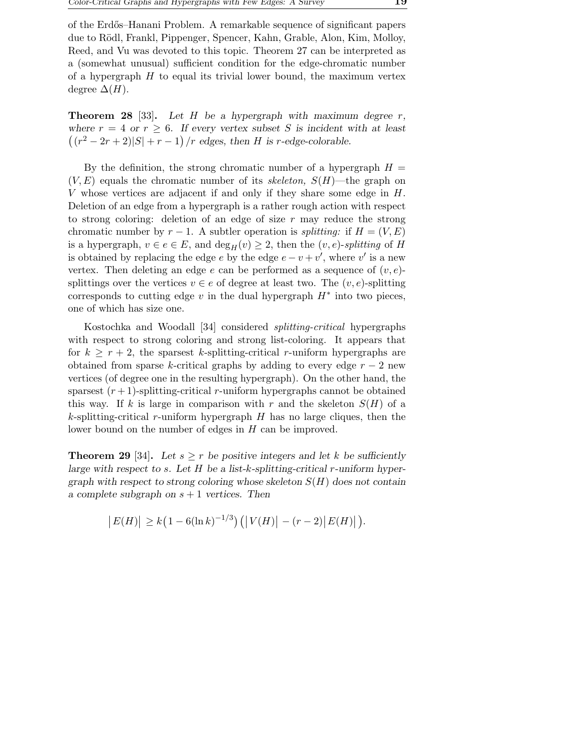of the Erd˝os–Hanani Problem. A remarkable sequence of significant papers due to Rödl, Frankl, Pippenger, Spencer, Kahn, Grable, Alon, Kim, Molloy, Reed, and Vu was devoted to this topic. Theorem 27 can be interpreted as a (somewhat unusual) sufficient condition for the edge-chromatic number of a hypergraph  $H$  to equal its trivial lower bound, the maximum vertex degree  $\Delta(H)$ .

**Theorem 28** [33]. Let H be a hypergraph with maximum degree r, where  $r = 4$  or  $r \geq 6$ . If every vertex subset S is incident with at least  $((r^2 - 2r + 2)|S| + r - 1) / r$  edges, then *H* is *r*-edge-colorable.

By the definition, the strong chromatic number of a hypergraph  $H =$  $(V, E)$  equals the chromatic number of its *skeleton,*  $S(H)$ —the graph on V whose vertices are adjacent if and only if they share some edge in  $H$ . Deletion of an edge from a hypergraph is a rather rough action with respect to strong coloring: deletion of an edge of size  $r$  may reduce the strong chromatic number by  $r-1$ . A subtler operation is *splitting:* if  $H = (V, E)$ is a hypergraph,  $v \in e \in E$ , and  $\deg_H(v) \geq 2$ , then the  $(v, e)$ -*splitting* of H is obtained by replacing the edge e by the edge  $e - v + v'$ , where v' is a new vertex. Then deleting an edge e can be performed as a sequence of  $(v, e)$ splittings over the vertices  $v \in e$  of degree at least two. The  $(v, e)$ -splitting corresponds to cutting edge  $v$  in the dual hypergraph  $H^*$  into two pieces, one of which has size one.

Kostochka and Woodall [34] considered *splitting-critical* hypergraphs with respect to strong coloring and strong list-coloring. It appears that for  $k \geq r+2$ , the sparsest k-splitting-critical r-uniform hypergraphs are obtained from sparse k-critical graphs by adding to every edge  $r - 2$  new vertices (of degree one in the resulting hypergraph). On the other hand, the sparsest  $(r + 1)$ -splitting-critical r-uniform hypergraphs cannot be obtained this way. If k is large in comparison with r and the skeleton  $S(H)$  of a  $k$ -splitting-critical r-uniform hypergraph  $H$  has no large cliques, then the lower bound on the number of edges in H can be improved.

**Theorem 29** [34]. Let  $s \geq r$  be positive integers and let k be sufficiently large with respect to s. Let  $H$  be a list-k-splitting-critical r-uniform hypergraph with respect to strong coloring whose skeleton  $S(H)$  does not contain a complete subgraph on  $s + 1$  vertices. Then

$$
|E(H)| \ge k\left(1 - 6(\ln k)^{-1/3}\right) \left( |V(H)| - (r-2)|E(H)| \right).
$$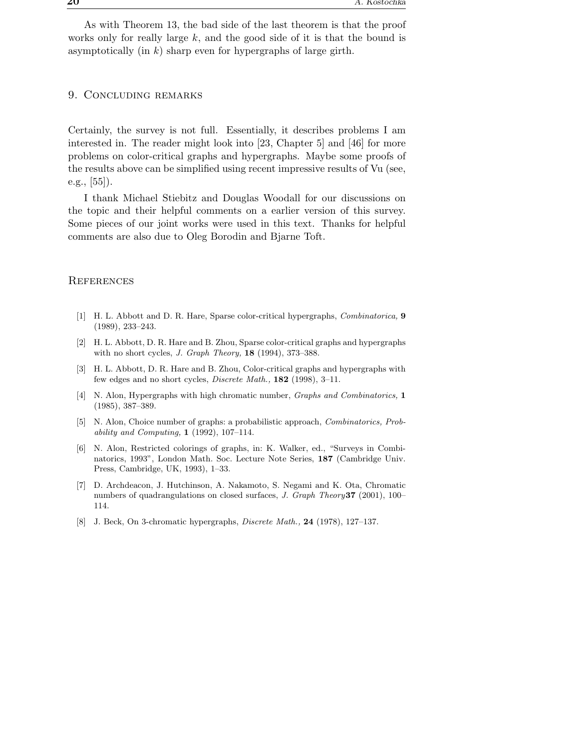As with Theorem 13, the bad side of the last theorem is that the proof works only for really large  $k$ , and the good side of it is that the bound is asymptotically (in  $k$ ) sharp even for hypergraphs of large girth.

## 9. Concluding remarks

Certainly, the survey is not full. Essentially, it describes problems I am interested in. The reader might look into [23, Chapter 5] and [46] for more problems on color-critical graphs and hypergraphs. Maybe some proofs of the results above can be simplified using recent impressive results of Vu (see, e.g., [55]).

I thank Michael Stiebitz and Douglas Woodall for our discussions on the topic and their helpful comments on a earlier version of this survey. Some pieces of our joint works were used in this text. Thanks for helpful comments are also due to Oleg Borodin and Bjarne Toft.

## **REFERENCES**

- [1] H. L. Abbott and D. R. Hare, Sparse color-critical hypergraphs, Combinatorica, 9 (1989), 233–243.
- [2] H. L. Abbott, D. R. Hare and B. Zhou, Sparse color-critical graphs and hypergraphs with no short cycles, J. Graph Theory, 18 (1994), 373–388.
- [3] H. L. Abbott, D. R. Hare and B. Zhou, Color-critical graphs and hypergraphs with few edges and no short cycles, Discrete Math., 182 (1998), 3–11.
- [4] N. Alon, Hypergraphs with high chromatic number, *Graphs and Combinatorics*, 1 (1985), 387–389.
- [5] N. Alon, Choice number of graphs: a probabilistic approach, Combinatorics, Probability and Computing, 1 (1992), 107–114.
- [6] N. Alon, Restricted colorings of graphs, in: K. Walker, ed., "Surveys in Combinatorics, 1993", London Math. Soc. Lecture Note Series, 187 (Cambridge Univ. Press, Cambridge, UK, 1993), 1–33.
- [7] D. Archdeacon, J. Hutchinson, A. Nakamoto, S. Negami and K. Ota, Chromatic numbers of quadrangulations on closed surfaces, J. Graph Theory37 (2001), 100– 114.
- [8] J. Beck, On 3-chromatic hypergraphs, *Discrete Math.*, **24** (1978), 127–137.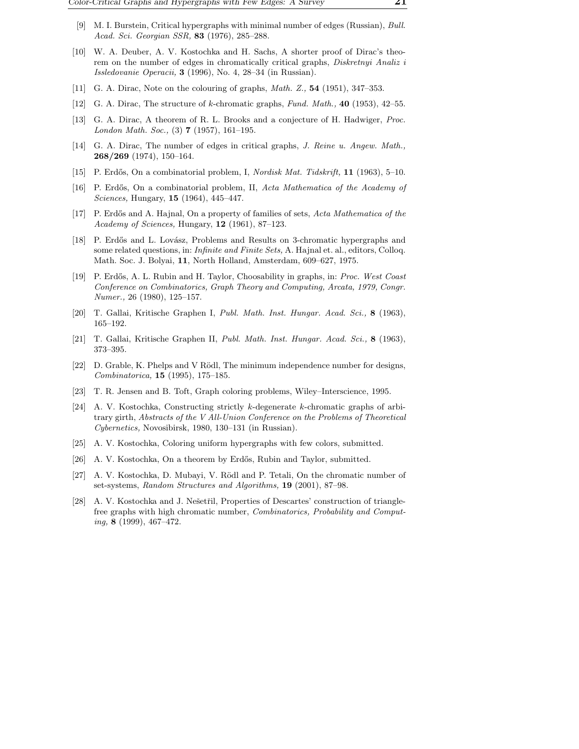- [9] M. I. Burstein, Critical hypergraphs with minimal number of edges (Russian), Bull. Acad. Sci. Georgian SSR, **83** (1976), 285–288.
- [10] W. A. Deuber, A. V. Kostochka and H. Sachs, A shorter proof of Dirac's theorem on the number of edges in chromatically critical graphs, Diskretnyi Analiz i Issledovanie Operacii, 3 (1996), No. 4, 28–34 (in Russian).
- [11] G. A. Dirac, Note on the colouring of graphs, *Math. Z.*, **54** (1951), 347–353.
- [12] G. A. Dirac, The structure of k-chromatic graphs, Fund. Math., 40 (1953), 42–55.
- [13] G. A. Dirac, A theorem of R. L. Brooks and a conjecture of H. Hadwiger, Proc. London Math. Soc.,  $(3)$  **7** (1957), 161-195.
- [14] G. A. Dirac, The number of edges in critical graphs, J. Reine u. Angew. Math., 268/269 (1974), 150–164.
- [15] P. Erdős, On a combinatorial problem, I, Nordisk Mat. Tidskrift, 11 (1963), 5–10.
- [16] P. Erdős, On a combinatorial problem, II, Acta Mathematica of the Academy of Sciences, Hungary, 15 (1964), 445–447.
- [17] P. Erdős and A. Hajnal, On a property of families of sets, Acta Mathematica of the Academy of Sciences, Hungary, 12 (1961), 87–123.
- [18] P. Erdős and L. Lovász, Problems and Results on 3-chromatic hypergraphs and some related questions, in: *Infinite and Finite Sets*, A. Hajnal et. al., editors, Colloq. Math. Soc. J. Bolyai, 11, North Holland, Amsterdam, 609–627, 1975.
- [19] P. Erdős, A. L. Rubin and H. Taylor, Choosability in graphs, in: Proc. West Coast Conference on Combinatorics, Graph Theory and Computing, Arcata, 1979, Congr. Numer., 26 (1980), 125–157.
- [20] T. Gallai, Kritische Graphen I, Publ. Math. Inst. Hungar. Acad. Sci., 8 (1963), 165–192.
- [21] T. Gallai, Kritische Graphen II, Publ. Math. Inst. Hungar. Acad. Sci., 8 (1963), 373–395.
- [22] D. Grable, K. Phelps and V Rödl, The minimum independence number for designs, Combinatorica, 15 (1995), 175–185.
- [23] T. R. Jensen and B. Toft, Graph coloring problems, Wiley–Interscience, 1995.
- [24] A. V. Kostochka, Constructing strictly k-degenerate k-chromatic graphs of arbitrary girth, Abstracts of the V All-Union Conference on the Problems of Theoretical Cybernetics, Novosibirsk, 1980, 130–131 (in Russian).
- [25] A. V. Kostochka, Coloring uniform hypergraphs with few colors, submitted.
- [26] A. V. Kostochka, On a theorem by Erdős, Rubin and Taylor, submitted.
- [27] A. V. Kostochka, D. Mubayi, V. Rödl and P. Tetali, On the chromatic number of set-systems, Random Structures and Algorithms, 19 (2001), 87–98.
- [28] A. V. Kostochka and J. Nešetřil, Properties of Descartes' construction of trianglefree graphs with high chromatic number, Combinatorics, Probability and Computing, 8 (1999), 467–472.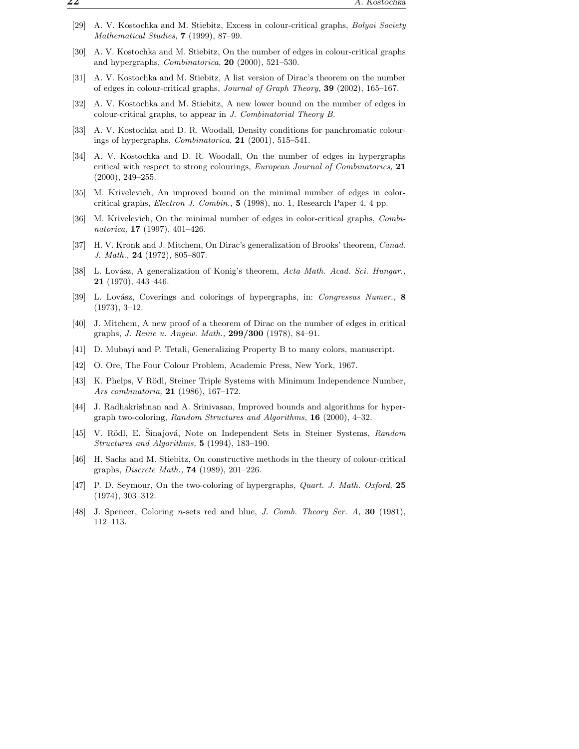- [29] A. V. Kostochka and M. Stiebitz, Excess in colour-critical graphs, Bolyai Society Mathematical Studies, **7** (1999), 87–99.
- [30] A. V. Kostochka and M. Stiebitz, On the number of edges in colour-critical graphs and hypergraphs, Combinatorica, 20 (2000), 521–530.
- [31] A. V. Kostochka and M. Stiebitz, A list version of Dirac's theorem on the number of edges in colour-critical graphs, Journal of Graph Theory, 39 (2002), 165–167.
- [32] A. V. Kostochka and M. Stiebitz, A new lower bound on the number of edges in colour-critical graphs, to appear in J. Combinatorial Theory B.
- [33] A. V. Kostochka and D. R. Woodall, Density conditions for panchromatic colourings of hypergraphs, Combinatorica, 21 (2001), 515–541.
- [34] A. V. Kostochka and D. R. Woodall, On the number of edges in hypergraphs critical with respect to strong colourings, European Journal of Combinatorics, 21 (2000), 249–255.
- [35] M. Krivelevich, An improved bound on the minimal number of edges in colorcritical graphs, Electron J. Combin., 5 (1998), no. 1, Research Paper 4, 4 pp.
- [36] M. Krivelevich, On the minimal number of edges in color-critical graphs, Combinatorica, 17 (1997), 401–426.
- [37] H. V. Kronk and J. Mitchem, On Dirac's generalization of Brooks' theorem, Canad. J. Math., 24 (1972), 805–807.
- [38] L. Lovász, A generalization of Konig's theorem, Acta Math. Acad. Sci. Hungar., 21 (1970), 443–446.
- [39] L. Lovász, Coverings and colorings of hypergraphs, in: Congressus Numer., 8 (1973), 3–12.
- [40] J. Mitchem, A new proof of a theorem of Dirac on the number of edges in critical graphs, J. Reine u. Angew. Math., 299/300 (1978), 84–91.
- [41] D. Mubayi and P. Tetali, Generalizing Property B to many colors, manuscript.
- [42] O. Ore, The Four Colour Problem, Academic Press, New York, 1967.
- [43] K. Phelps, V Rödl, Steiner Triple Systems with Minimum Independence Number, Ars combinatoria, 21 (1986), 167–172.
- [44] J. Radhakrishnan and A. Srinivasan, Improved bounds and algorithms for hypergraph two-coloring, Random Structures and Algorithms, 16 (2000), 4–32.
- [45] V. Rödl, E. Sinajová, Note on Independent Sets in Steiner Systems, Random Structures and Algorithms, 5 (1994), 183–190.
- [46] H. Sachs and M. Stiebitz, On constructive methods in the theory of colour-critical graphs, Discrete Math., 74 (1989), 201–226.
- [47] P. D. Seymour, On the two-coloring of hypergraphs, Quart. J. Math. Oxford, 25 (1974), 303–312.
- [48] J. Spencer, Coloring n-sets red and blue, J. Comb. Theory Ser. A, 30 (1981), 112–113.